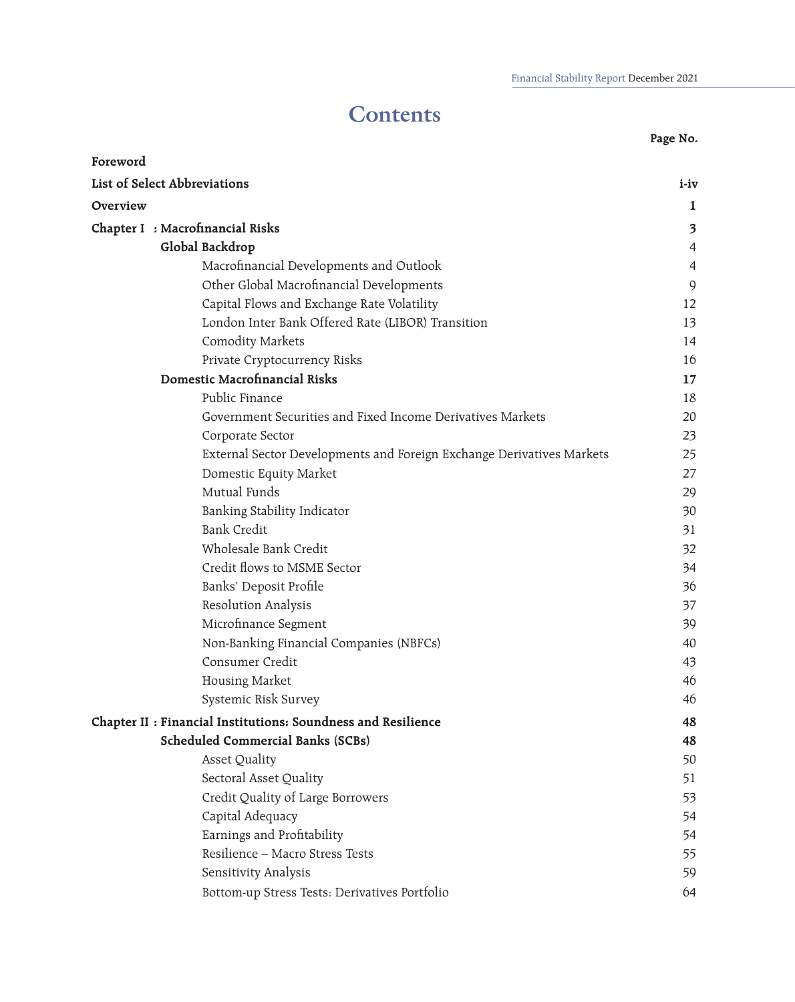# **Contents**

| Foreword                                                      |                                                                       |                |
|---------------------------------------------------------------|-----------------------------------------------------------------------|----------------|
| List of Select Abbreviations                                  |                                                                       | i-iv           |
| Overview                                                      |                                                                       | 1              |
| Chapter I : Macrofinancial Risks                              |                                                                       | 3              |
| Global Backdrop                                               |                                                                       | $\overline{4}$ |
| Macrofinancial Developments and Outlook                       |                                                                       | $\overline{4}$ |
| Other Global Macrofinancial Developments                      |                                                                       | 9              |
| Capital Flows and Exchange Rate Volatility                    |                                                                       | 12             |
| London Inter Bank Offered Rate (LIBOR) Transition             |                                                                       | 13             |
| <b>Comodity Markets</b>                                       |                                                                       | 14             |
| Private Cryptocurrency Risks                                  |                                                                       | 16             |
| Domestic Macrofinancial Risks                                 |                                                                       | 17             |
| Public Finance                                                |                                                                       | 18             |
| Government Securities and Fixed Income Derivatives Markets    |                                                                       | 20             |
| Corporate Sector                                              |                                                                       | 23             |
|                                                               | External Sector Developments and Foreign Exchange Derivatives Markets | 25             |
| Domestic Equity Market                                        |                                                                       | 27             |
| Mutual Funds                                                  |                                                                       | 29             |
| Banking Stability Indicator                                   |                                                                       | 30             |
| <b>Bank Credit</b>                                            |                                                                       | 31             |
| Wholesale Bank Credit                                         |                                                                       | 32             |
| Credit flows to MSME Sector                                   |                                                                       | 34             |
| Banks' Deposit Profile                                        |                                                                       | 36             |
| Resolution Analysis                                           |                                                                       | 37             |
| Microfinance Segment                                          |                                                                       | 39             |
| Non-Banking Financial Companies (NBFCs)                       |                                                                       | 40             |
| Consumer Credit                                               |                                                                       | 43             |
| <b>Housing Market</b>                                         |                                                                       | 46             |
| Systemic Risk Survey                                          |                                                                       | 46             |
| Chapter II : Financial Institutions: Soundness and Resilience |                                                                       | 48             |
| <b>Scheduled Commercial Banks (SCBs)</b>                      |                                                                       | 48             |
| <b>Asset Quality</b>                                          |                                                                       | 50             |
| Sectoral Asset Quality                                        |                                                                       | 51             |
| Credit Quality of Large Borrowers                             |                                                                       | 53             |
| Capital Adequacy                                              |                                                                       | 54             |
| Earnings and Profitability                                    |                                                                       | 54             |
| Resilience - Macro Stress Tests                               |                                                                       | 55             |
| Sensitivity Analysis                                          |                                                                       | 59             |
| Bottom-up Stress Tests: Derivatives Portfolio                 |                                                                       | 64             |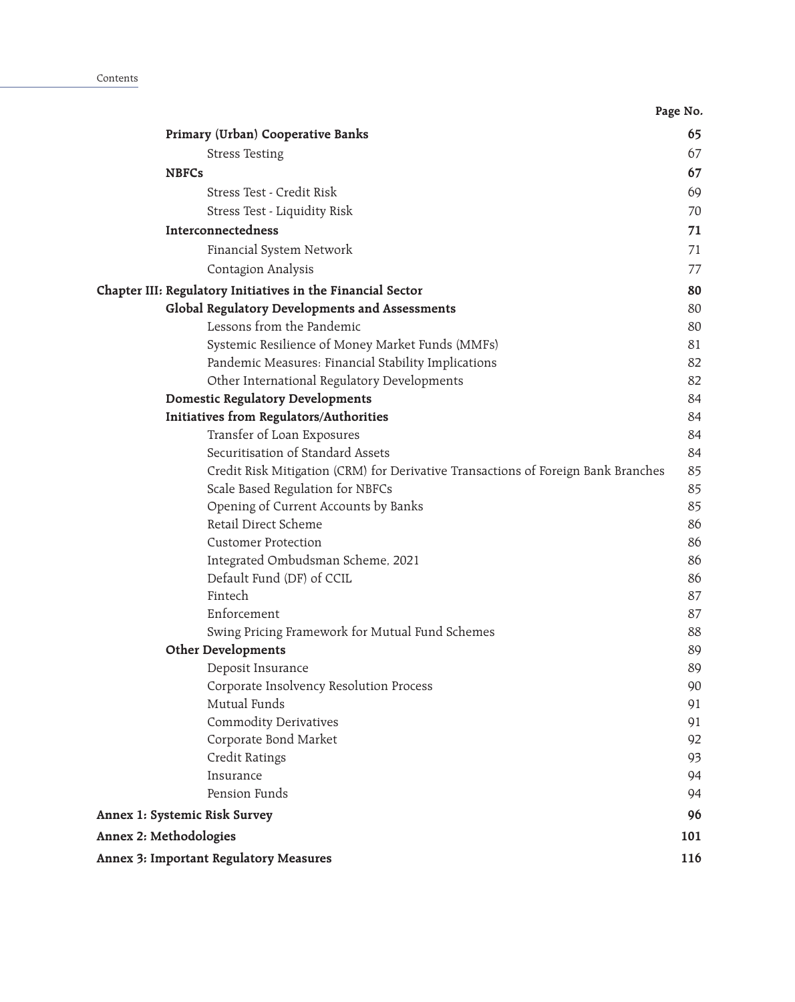|                                                                                   | Page No. |
|-----------------------------------------------------------------------------------|----------|
| Primary (Urban) Cooperative Banks                                                 | 65       |
| <b>Stress Testing</b>                                                             | 67       |
| <b>NBFCs</b>                                                                      | 67       |
| Stress Test - Credit Risk                                                         | 69       |
| Stress Test - Liquidity Risk                                                      | 70       |
| Interconnectedness                                                                | 71       |
| Financial System Network                                                          | 71       |
| Contagion Analysis                                                                | 77       |
| Chapter III: Regulatory Initiatives in the Financial Sector                       | 80       |
| Global Regulatory Developments and Assessments                                    | 80       |
| Lessons from the Pandemic                                                         | 80       |
| Systemic Resilience of Money Market Funds (MMFs)                                  | 81       |
| Pandemic Measures: Financial Stability Implications                               | 82       |
| Other International Regulatory Developments                                       | 82       |
| <b>Domestic Regulatory Developments</b>                                           | 84       |
| Initiatives from Regulators/Authorities                                           | 84       |
| Transfer of Loan Exposures                                                        | 84       |
| Securitisation of Standard Assets                                                 | 84       |
| Credit Risk Mitigation (CRM) for Derivative Transactions of Foreign Bank Branches | 85       |
| Scale Based Regulation for NBFCs                                                  | 85       |
| Opening of Current Accounts by Banks                                              | 85       |
| Retail Direct Scheme                                                              | 86       |
| <b>Customer Protection</b>                                                        | 86       |
| Integrated Ombudsman Scheme, 2021                                                 | 86       |
| Default Fund (DF) of CCIL                                                         | 86       |
| Fintech                                                                           | 87       |
| Enforcement                                                                       | 87       |
| Swing Pricing Framework for Mutual Fund Schemes<br><b>Other Developments</b>      | 88<br>89 |
| Deposit Insurance                                                                 | 89       |
| Corporate Insolvency Resolution Process                                           | 90       |
| Mutual Funds                                                                      | 91       |
| <b>Commodity Derivatives</b>                                                      | 91       |
| Corporate Bond Market                                                             | 92       |
| Credit Ratings                                                                    | 93       |
| Insurance                                                                         | 94       |
| Pension Funds                                                                     | 94       |
| Annex 1: Systemic Risk Survey                                                     | 96       |
| Annex 2: Methodologies                                                            | 101      |
| Annex 3: Important Regulatory Measures                                            | 116      |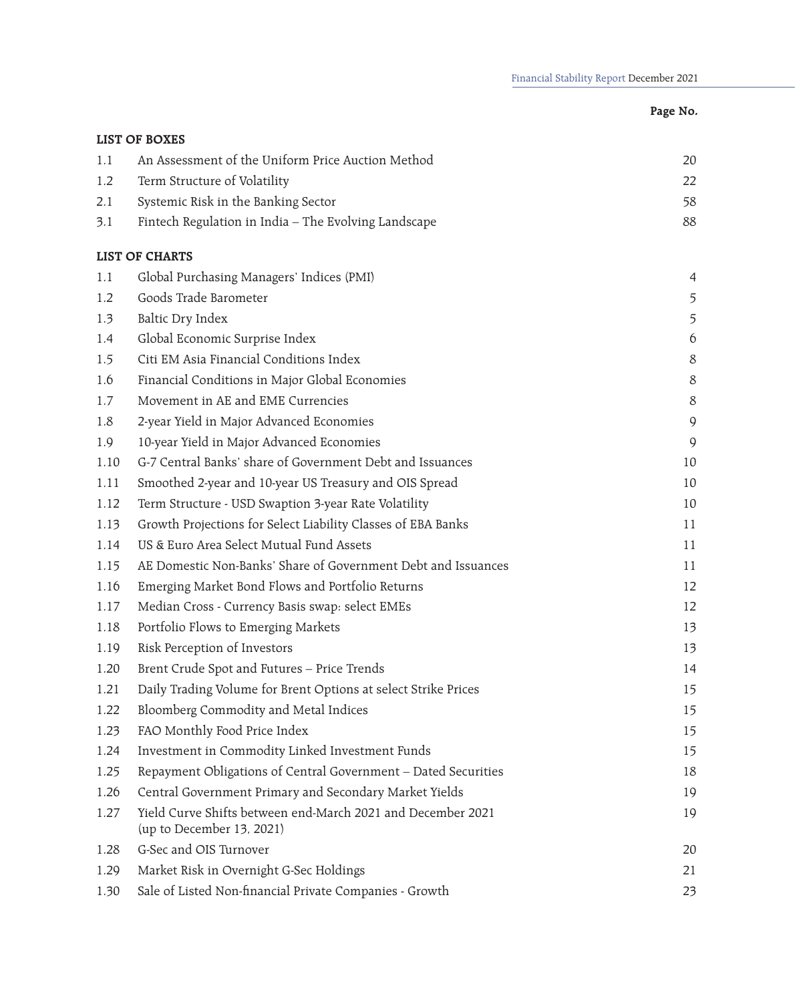| 20    |
|-------|
| 22    |
| 58    |
| 88    |
|       |
| 4     |
| 5     |
| 5     |
| 6     |
| 8     |
| $8\,$ |
| 8     |
| 9     |
| 9     |
| 10    |
| 10    |
| 10    |
| 11    |
| 11    |
| 11    |
| 12    |
| 12    |
| 13    |
| 13    |
| 14    |
| 15    |
| 15    |
| 15    |
| 15    |
| 18    |
| 19    |
| 19    |
| 20    |
| 21    |
| 23    |
|       |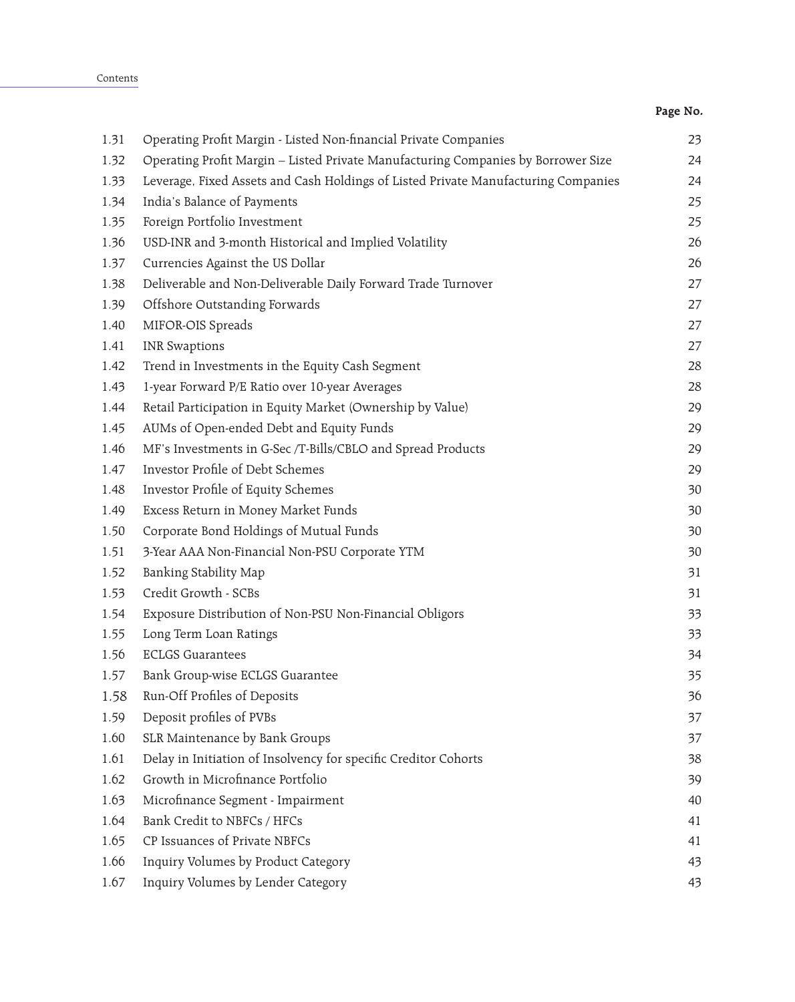| ாப |
|----|
|----|

| 1.31 | Operating Profit Margin - Listed Non-financial Private Companies                   | 23 |
|------|------------------------------------------------------------------------------------|----|
| 1.32 | Operating Profit Margin - Listed Private Manufacturing Companies by Borrower Size  | 24 |
| 1.33 | Leverage, Fixed Assets and Cash Holdings of Listed Private Manufacturing Companies | 24 |
| 1.34 | India's Balance of Payments                                                        | 25 |
| 1.35 | Foreign Portfolio Investment                                                       | 25 |
| 1.36 | USD-INR and 3-month Historical and Implied Volatility                              | 26 |
| 1.37 | Currencies Against the US Dollar                                                   | 26 |
| 1.38 | Deliverable and Non-Deliverable Daily Forward Trade Turnover                       | 27 |
| 1.39 | Offshore Outstanding Forwards                                                      | 27 |
| 1.40 | MIFOR-OIS Spreads                                                                  | 27 |
| 1.41 | <b>INR Swaptions</b>                                                               | 27 |
| 1.42 | Trend in Investments in the Equity Cash Segment                                    | 28 |
| 1.43 | 1-year Forward P/E Ratio over 10-year Averages                                     | 28 |
| 1.44 | Retail Participation in Equity Market (Ownership by Value)                         | 29 |
| 1.45 | AUMs of Open-ended Debt and Equity Funds                                           | 29 |
| 1.46 | MF's Investments in G-Sec /T-Bills/CBLO and Spread Products                        | 29 |
| 1.47 | Investor Profile of Debt Schemes                                                   | 29 |
| 1.48 | Investor Profile of Equity Schemes                                                 | 30 |
| 1.49 | Excess Return in Money Market Funds                                                | 30 |
| 1.50 | Corporate Bond Holdings of Mutual Funds                                            | 30 |
| 1.51 | 3-Year AAA Non-Financial Non-PSU Corporate YTM                                     | 30 |
| 1.52 | Banking Stability Map                                                              | 31 |
| 1.53 | Credit Growth - SCBs                                                               | 31 |
| 1.54 | Exposure Distribution of Non-PSU Non-Financial Obligors                            | 33 |
| 1.55 | Long Term Loan Ratings                                                             | 33 |
| 1.56 | <b>ECLGS Guarantees</b>                                                            | 34 |
| 1.57 | Bank Group-wise ECLGS Guarantee                                                    | 35 |
| 1.58 | Run-Off Profiles of Deposits                                                       | 36 |
| 1.59 | Deposit profiles of PVBs                                                           | 37 |
| 1.60 | SLR Maintenance by Bank Groups                                                     | 37 |
| 1.61 | Delay in Initiation of Insolvency for specific Creditor Cohorts                    | 38 |
| 1.62 | Growth in Microfinance Portfolio                                                   | 39 |
| 1.63 | Microfinance Segment - Impairment                                                  | 40 |
| 1.64 | Bank Credit to NBFCs / HFCs                                                        | 41 |
| 1.65 | CP Issuances of Private NBFCs                                                      | 41 |
| 1.66 | Inquiry Volumes by Product Category                                                | 43 |
| 1.67 | Inquiry Volumes by Lender Category                                                 | 43 |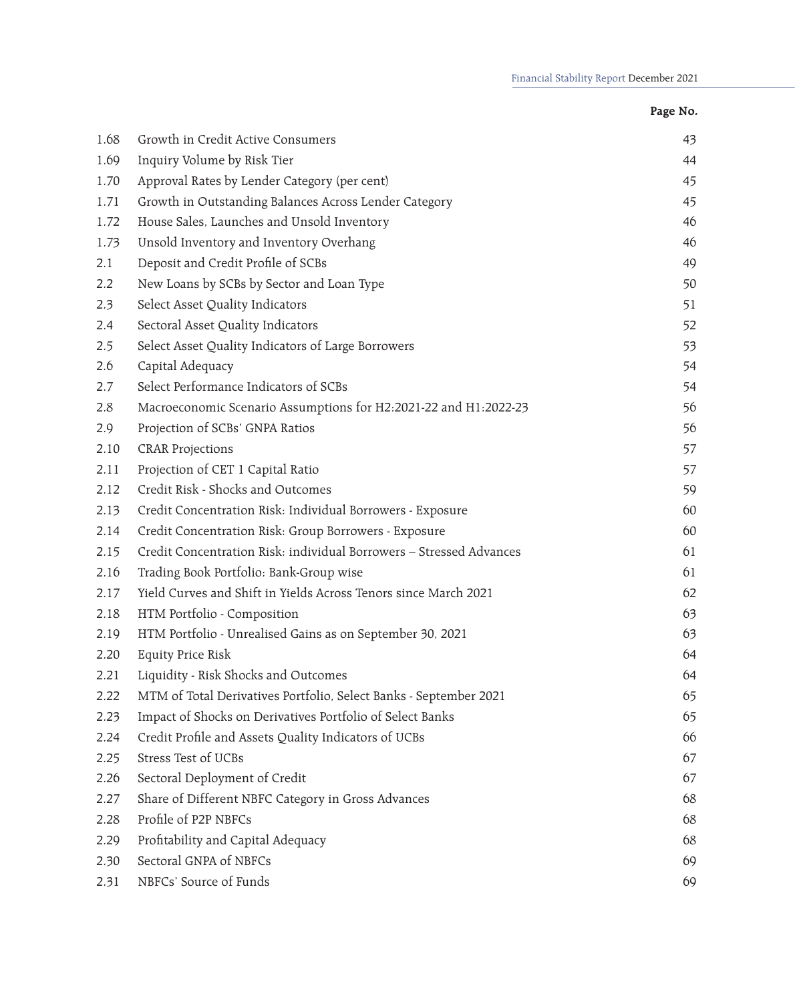| ٠ |  |
|---|--|
|---|--|

| 1.68 | Growth in Credit Active Consumers                                   | 43 |
|------|---------------------------------------------------------------------|----|
| 1.69 | Inquiry Volume by Risk Tier                                         | 44 |
| 1.70 | Approval Rates by Lender Category (per cent)                        | 45 |
| 1.71 | Growth in Outstanding Balances Across Lender Category               | 45 |
| 1.72 | House Sales, Launches and Unsold Inventory                          | 46 |
| 1.73 | Unsold Inventory and Inventory Overhang                             | 46 |
| 2.1  | Deposit and Credit Profile of SCBs                                  | 49 |
| 2.2  | New Loans by SCBs by Sector and Loan Type                           | 50 |
| 2.3  | Select Asset Quality Indicators                                     | 51 |
| 2.4  | Sectoral Asset Quality Indicators                                   | 52 |
| 2.5  | Select Asset Quality Indicators of Large Borrowers                  | 53 |
| 2.6  | Capital Adequacy                                                    | 54 |
| 2.7  | Select Performance Indicators of SCBs                               | 54 |
| 2.8  | Macroeconomic Scenario Assumptions for H2:2021-22 and H1:2022-23    | 56 |
| 2.9  | Projection of SCBs' GNPA Ratios                                     | 56 |
| 2.10 | <b>CRAR Projections</b>                                             | 57 |
| 2.11 | Projection of CET 1 Capital Ratio                                   | 57 |
| 2.12 | Credit Risk - Shocks and Outcomes                                   | 59 |
| 2.13 | Credit Concentration Risk: Individual Borrowers - Exposure          | 60 |
| 2.14 | Credit Concentration Risk: Group Borrowers - Exposure               | 60 |
| 2.15 | Credit Concentration Risk: individual Borrowers - Stressed Advances | 61 |
| 2.16 | Trading Book Portfolio: Bank-Group wise                             | 61 |
| 2.17 | Yield Curves and Shift in Yields Across Tenors since March 2021     | 62 |
| 2.18 | HTM Portfolio - Composition                                         | 63 |
| 2.19 | HTM Portfolio - Unrealised Gains as on September 30, 2021           | 63 |
| 2.20 | <b>Equity Price Risk</b>                                            | 64 |
| 2.21 | Liquidity - Risk Shocks and Outcomes                                | 64 |
| 2.22 | MTM of Total Derivatives Portfolio, Select Banks - September 2021   | 65 |
| 2.23 | Impact of Shocks on Derivatives Portfolio of Select Banks           | 65 |
| 2.24 | Credit Profile and Assets Quality Indicators of UCBs                | 66 |
| 2.25 | Stress Test of UCBs                                                 | 67 |
| 2.26 | Sectoral Deployment of Credit                                       | 67 |
| 2.27 | Share of Different NBFC Category in Gross Advances                  | 68 |
| 2.28 | Profile of P2P NBFCs                                                | 68 |
| 2.29 | Profitability and Capital Adequacy                                  | 68 |
| 2.30 | Sectoral GNPA of NBFCs                                              | 69 |
| 2.31 | NBFCs' Source of Funds                                              | 69 |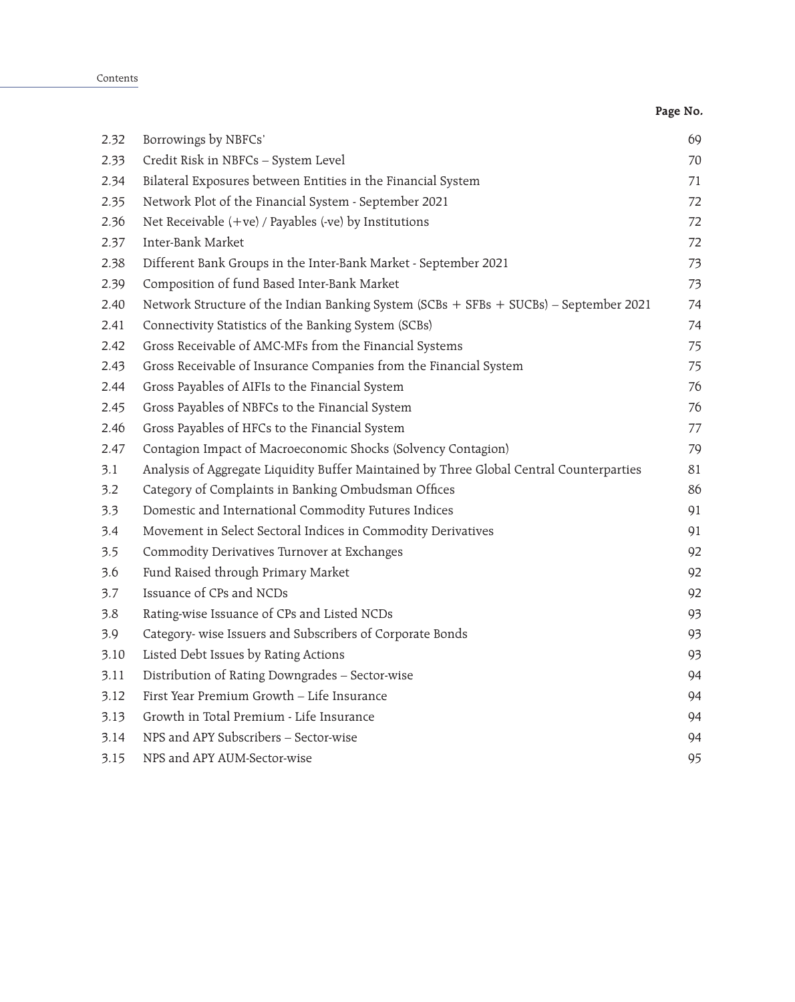Contents

|      |                                                                                          | Page No. |
|------|------------------------------------------------------------------------------------------|----------|
| 2.32 | Borrowings by NBFCs'                                                                     | 69       |
| 2.33 | Credit Risk in NBFCs - System Level                                                      | 70       |
| 2.34 | Bilateral Exposures between Entities in the Financial System                             | 71       |
| 2.35 | Network Plot of the Financial System - September 2021                                    | 72       |
| 2.36 | Net Receivable $(+ve)$ / Payables $(-ve)$ by Institutions                                | 72       |
| 2.37 | Inter-Bank Market                                                                        | 72       |
| 2.38 | Different Bank Groups in the Inter-Bank Market - September 2021                          | 73       |
| 2.39 | Composition of fund Based Inter-Bank Market                                              | 73       |
| 2.40 | Network Structure of the Indian Banking System (SCBs + SFBs + SUCBs) - September 2021    | 74       |
| 2.41 | Connectivity Statistics of the Banking System (SCBs)                                     | 74       |
| 2.42 | Gross Receivable of AMC-MFs from the Financial Systems                                   | 75       |
| 2.43 | Gross Receivable of Insurance Companies from the Financial System                        | 75       |
| 2.44 | Gross Payables of AIFIs to the Financial System                                          | 76       |
| 2.45 | Gross Payables of NBFCs to the Financial System                                          | 76       |
| 2.46 | Gross Payables of HFCs to the Financial System                                           | 77       |
| 2.47 | Contagion Impact of Macroeconomic Shocks (Solvency Contagion)                            | 79       |
| 3.1  | Analysis of Aggregate Liquidity Buffer Maintained by Three Global Central Counterparties | 81       |
| 3.2  | Category of Complaints in Banking Ombudsman Offices                                      | 86       |
| 3.3  | Domestic and International Commodity Futures Indices                                     | 91       |
| 3.4  | Movement in Select Sectoral Indices in Commodity Derivatives                             | 91       |
| 3.5  | Commodity Derivatives Turnover at Exchanges                                              | 92       |
| 3.6  | Fund Raised through Primary Market                                                       | 92       |
| 3.7  | Issuance of CPs and NCDs                                                                 | 92       |
| 3.8  | Rating-wise Issuance of CPs and Listed NCDs                                              | 93       |
| 3.9  | Category- wise Issuers and Subscribers of Corporate Bonds                                | 93       |
| 3.10 | Listed Debt Issues by Rating Actions                                                     | 93       |
| 3.11 | Distribution of Rating Downgrades - Sector-wise                                          | 94       |
| 3.12 | First Year Premium Growth - Life Insurance                                               | 94       |
| 3.13 | Growth in Total Premium - Life Insurance                                                 | 94       |
| 3.14 | NPS and APY Subscribers - Sector-wise                                                    | 94       |
| 3.15 | NPS and APY AUM-Sector-wise                                                              | 95       |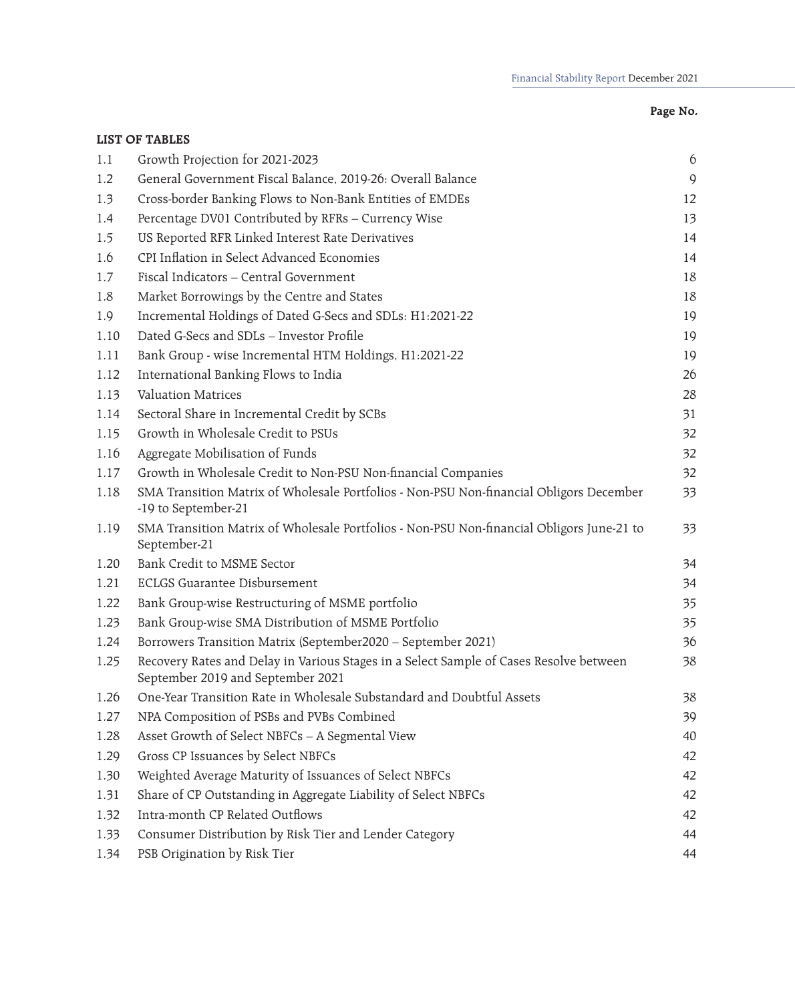|      | <b>LIST OF TABLES</b>                                                                                                       |               |
|------|-----------------------------------------------------------------------------------------------------------------------------|---------------|
| 1.1  | Growth Projection for 2021-2023                                                                                             | 6             |
| 1.2  | General Government Fiscal Balance, 2019-26: Overall Balance                                                                 | $\mathcal{Q}$ |
| 1.3  | Cross-border Banking Flows to Non-Bank Entities of EMDEs                                                                    | 12            |
| 1.4  | Percentage DV01 Contributed by RFRs - Currency Wise                                                                         | 13            |
| 1.5  | US Reported RFR Linked Interest Rate Derivatives                                                                            | 14            |
| 1.6  | CPI Inflation in Select Advanced Economies                                                                                  | 14            |
| 1.7  | Fiscal Indicators - Central Government                                                                                      | 18            |
| 1.8  | Market Borrowings by the Centre and States                                                                                  | 18            |
| 1.9  | Incremental Holdings of Dated G-Secs and SDLs: H1:2021-22                                                                   | 19            |
| 1.10 | Dated G-Secs and SDLs - Investor Profile                                                                                    | 19            |
| 1.11 | Bank Group - wise Incremental HTM Holdings, H1:2021-22                                                                      | 19            |
| 1.12 | International Banking Flows to India                                                                                        | 26            |
| 1.13 | Valuation Matrices                                                                                                          | 28            |
| 1.14 | Sectoral Share in Incremental Credit by SCBs                                                                                | 31            |
| 1.15 | Growth in Wholesale Credit to PSUs                                                                                          | 32            |
| 1.16 | Aggregate Mobilisation of Funds                                                                                             | 32            |
| 1.17 | Growth in Wholesale Credit to Non-PSU Non-financial Companies                                                               | 32            |
| 1.18 | SMA Transition Matrix of Wholesale Portfolios - Non-PSU Non-financial Obligors December<br>-19 to September-21              | 33            |
| 1.19 | SMA Transition Matrix of Wholesale Portfolios - Non-PSU Non-financial Obligors June-21 to<br>September-21                   | 33            |
| 1.20 | Bank Credit to MSME Sector                                                                                                  | 34            |
| 1.21 | <b>ECLGS Guarantee Disbursement</b>                                                                                         | 34            |
| 1.22 | Bank Group-wise Restructuring of MSME portfolio                                                                             | 35            |
| 1.23 | Bank Group-wise SMA Distribution of MSME Portfolio                                                                          | 35            |
| 1.24 | Borrowers Transition Matrix (September2020 - September 2021)                                                                | 36            |
| 1.25 | Recovery Rates and Delay in Various Stages in a Select Sample of Cases Resolve between<br>September 2019 and September 2021 | 38            |
| 1.26 | One-Year Transition Rate in Wholesale Substandard and Doubtful Assets                                                       | 38            |
| 1.27 | NPA Composition of PSBs and PVBs Combined                                                                                   | 39            |
| 1.28 | Asset Growth of Select NBFCs - A Segmental View                                                                             | 40            |
| 1.29 | Gross CP Issuances by Select NBFCs                                                                                          | 42            |
| 1.30 | Weighted Average Maturity of Issuances of Select NBFCs                                                                      | 42            |
| 1.31 | Share of CP Outstanding in Aggregate Liability of Select NBFCs                                                              | 42            |
| 1.32 | Intra-month CP Related Outflows                                                                                             | 42            |
| 1.33 | Consumer Distribution by Risk Tier and Lender Category                                                                      | 44            |
| 1.34 | PSB Origination by Risk Tier                                                                                                | 44            |